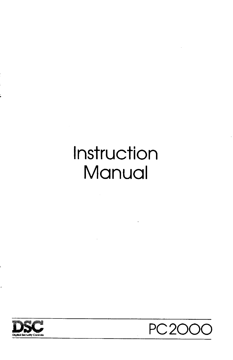# Instruction Manual



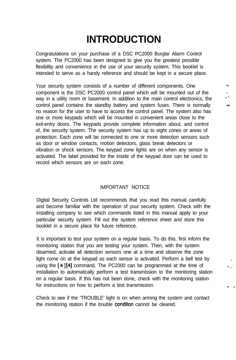## **INTRODUCTION**

Congratulations on your purchase of a DSC PC2000 Burglar Alarm Control system. The PC2000 has been designed to give you the greatest possible flexibility and convenience in the use of your security system. This booklet is intended to serve as a handy reference and should be kept in a secure place.

Your security system consists of a number of different components. One component is the DSC PC2000 control panel which will be mounted out of the ... way in a utility room or basement. In addition to the main control electronics, the control panel contains the standby battery and system fuses. There is normally  $\rightarrow$ no reason for the user to have to access the control panel. The system also has one or more keypads which will be mounted in convenient areas close to the exit-entry doors. The keypads provide complete information about, and control of, the security system. The security system has up to eight zones or areas of protection. Each zone will be connected to one or more detection sensors such as door or window contacts, motion detectors, glass break detectors or vibration or shock sensors. The keypad zone lights are on when any sensor is activated. The label provided for the inside of the keypad door can be used to record which sensors are on each zone.

#### IMPORTANT NOTICE

Digital Security Controls Ltd recommends that you read this manual carefully and become familiar with the operation of your security system. Check with the installing company to see which commands listed in this manual apply to your particular security system. Fill out the system reference sheet and store this booklet in a secure place for future reference.

It is important to test your system on a regular basis. To do this, first inform the monitoring station that you are testing your system. Then, with the system disarmed, activate all detection sensors one at a time and observe the zone light come on at the keypad as each sensor is activated. Perform a bell test by using the  $\{\star\} [4]$  command. The PC2000 can be programmed at the time of installation to automatically perform a test transmission to the monitoring station on a regular basis. If this has not been done, check with the monitoring station for instructions on how to perform a test transmission.

, ' .'

- .

Check to see if the 'TROUBLE' light is on when arming the system and contact the monitoring station if the trouble conditon cannot be cleared.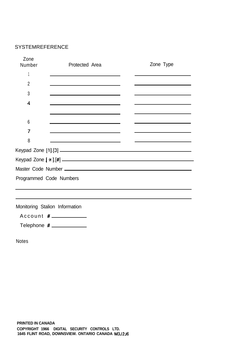#### SYSTEMREFERENCE

| Zone<br>Number          | Protected Area                                                                                                      | Zone Type                                                                                 |
|-------------------------|---------------------------------------------------------------------------------------------------------------------|-------------------------------------------------------------------------------------------|
|                         | <u> 1989 - Jan Sterling von Berger von Berger von Berger von Berger von Berger von Berger von Berger von Berger</u> |                                                                                           |
| 2                       |                                                                                                                     |                                                                                           |
| 3                       | <u> 1989 - Johann Barn, amerikansk politiker (</u>                                                                  |                                                                                           |
| 4                       |                                                                                                                     |                                                                                           |
|                         | the contract of the contract of the contract of the contract of the contract of the contract of                     |                                                                                           |
| 6                       |                                                                                                                     |                                                                                           |
|                         | the contract of the contract of the contract of the contract of the contract of                                     | the contract of the contract of the contract of the contract of the contract of           |
| 8                       | <u> 1980 - Johann Barn, mars an t-Amerikaansk politiker (</u>                                                       | the control of the control of the control of the control of the control of the control of |
|                         |                                                                                                                     |                                                                                           |
|                         |                                                                                                                     |                                                                                           |
|                         | Master Code Number (2008) 2012 12:00:00 12:00:00 12:00:00 12:00:00 12:00:00 12:00:00 12:00:00 12:00:00 12:00:0      |                                                                                           |
| Programmed Code Numbers |                                                                                                                     |                                                                                           |
|                         |                                                                                                                     |                                                                                           |
|                         |                                                                                                                     |                                                                                           |
|                         |                                                                                                                     |                                                                                           |

Monitoring Stalion Information

Account #

Telephone #

Notes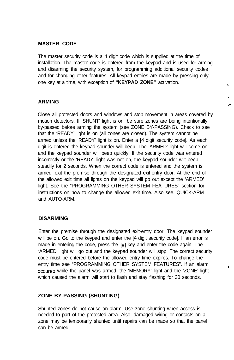#### **MASTER CODE**

The master security code is a 4 digit code which is supplied at the time of installation. The master code is entered from the keypad and is used for arming and disarming the security system, for programming additional security codes and for changing other features. All keypad entries are made by pressing only one key at a time, with exception of **"KEYPAD ZONE"** activation. <sup>z</sup>

'.

### **ARMING .d\***

Close all protected doors and windows and stop movement in areas covered by motion detectors. If 'SHUNT' light is on, be sure zones are being intentionally by-passed before arming the system (see ZONE BY-PASSING). Check to see that the 'READY' light is on (all zones are closed). The system cannot be armed unless the 'READY' light is on. Enter a [4 digit security code]. As each digit is entered the keypad sounder will beep. The 'ARMED' light will come on and the keypad sounder will beep quickly. If the security code was entered incorrectly or the 'READY' light was not on, the keypad sounder wilt beep steadily for 2 seconds. When the correct code is entered and the system is armed, exit the premise through the designated exit-entry door. At the end of the allowed exit time all lights on the keypad will go out except the 'ARMED' light. See the "PROGRAMMING OTHER SYSTEM FEATURES" section for instructions on how to change the allowed exit time. Also see, QUICK-ARM and AUTO-ARM.

#### **DISARMING**

Enter the premise through the designated exit-entry door. The keypad sounder will be on. Go to the keypad and enter the [4 digit security code]. If an error is made in entering the code, press the [#] key and enter the code again. The 'ARMED' light will go out and the keypad sounder will stpp. The correct security code must be entered before the allowed entry time expires. To change the entry time see "PROGRAMMING OTHER SYSTEM FEATURES". If an alarm occured while the panel was armed, the 'MEMORY' light and the 'ZONE' light which caused the alarm will start to flash and stay flashing for 30 seconds.

#### **ZONE BY-PASSING (SHUNTING)**

Shunted zones do not cause an alarm. Use zone shunting when access is needed to part of the protected area. Also, damaged wiring or contacts on a zone may be temporarily shunted until repairs can be made so that the panel can be armed.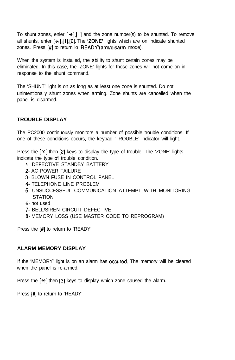To shunt zones, enler  $[\ast]$ , [1] and the zone number(s) to be shunted. To remove all shunts, enter [\*],[l],[O]. The **'ZONE'** lights which are on indicate shunted zones. Press [#) to return lo 'READY'(arm/disarm mode).

When the system is installed, the ability to shunt certain zones may be eliminated. In this case, the 'ZONE' lights for those zones will not come on in response to the shunt command.

The 'SHUNT' light is on as long as at least one zone is shunted. Do not unintentionally shunt zones when arming. Zone shunts are cancelled when the panel is disarmed.

#### **TROUBLE DISPLAY**

The PC2000 continuously monitors a number of possible trouble conditions. If one of these conditions occurs, the keypad 'TROUBLE' indicator will light.

Press the  $[*/]$  then  $[2]$  keys to display the type of trouble. The 'ZONE' lights indicate the type of trouble condition.

- I- DEFECTIVE STANDBY BATTERY
- 2- AC POWER FAILURE
- 3- BLOWN FUSE IN CONTROL PANEL
- 4- TELEPHONE LINE PROBLEM
- 5- UNSUCCESSFUL COMMUNICATION ATTEMPT WITH MONITORING **STATION**
- 6- not used
- 7- BELL/SIREN CIRCUIT DEFECTIVE
- 8- MEMORY LOSS (USE MASTER CODE TO REPROGRAM)

Press the [#] to return to 'READY'.

#### **ALARM MEMORY DISPLAY**

If the 'MEMORY' light is on an alarm has occured. The memory will be cleared when the panel is re-armed.

Press the  $[*/]$  then [3] keys to display which zone caused the alarm.

Press [#] to return to 'READY'.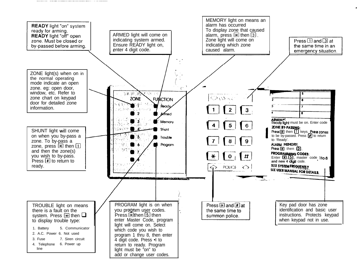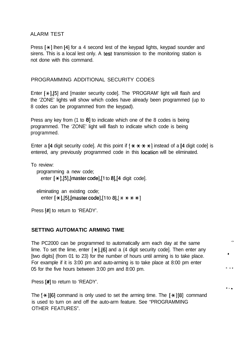#### ALARM TEST

Press  $\mathbb{R}$ ] lhen [4] for a 4 second lest of the keypad lights, keypad sounder and sirens. This is a local lest only. A test transmission to the monitoring station is not done with this command.

#### PROGRAMMING ADDITIONAL SECURITY CODES

Enter  $[*/1.5]$  and [master security code]. The 'PROGRAM' light will flash and the 'ZONE' lights will show which codes have already been programmed (up to 8 codes can be programmed from the keypad).

Press any key from (1 to 8) to indicate which one of the 8 codes is being programmed. The 'ZONE' light will flash to indicate which code is being programmed.

Enter a [4 digit security code]. At this point if  $[$   $\star$   $\star$   $\star$   $\star$   $]$  instead of a [4 digit code] is entered, any previously programmed code in this location will be eliminated.

To review:

```
programming a new code;
enter [*/[5], [master code], [1 to 8], [4 digit code].
```

```
eliminating an existing code;
enter [*/], [5],[master code],[1 to 8],[****]
```
Press [#] to return to 'READY'.

#### **SETTING AUTOMATIC ARMING TIME**

The PC2000 can be programmed to automatically arm each day at the same lime. To set the lime, enter  ${*}$ ,  $[6]$  and a (4 digit security code). Then enter any [two digits] (from 01 to 23) for the number of hours until arming is to take place. For example if it is 3:00 pm and auto-arming is to take place at 8:00 pm enter 05 for the five hours between 3:00 pm and 8:00 pm.

,..

 $-$  -  $\alpha$ 

. . .

Press [#] to return to 'READY'.

The  $[\star]$  [6] command is only used to set the arming time. The  $[\star]$ [8] command is used to turn on and off the auto-arm feature. See "PROGRAMMING OTHER FEATURES".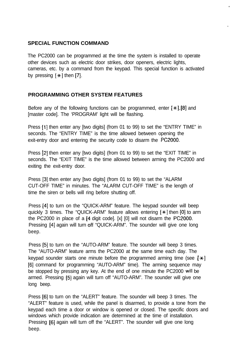#### **SPECIAL FUNCTION COMMAND**

The PC2000 can be programmed at the time the system is installed to operate other devices such as electric door strikes, door openers, electric lights, cameras, etc. by a command from the keypad. This special function is activated by pressing  $[*/]$  then [7].

#### **PROGRAMMING OTHER SYSTEM FEATURES**

Before any of the following functions can be programmed, enter  $[\star]$ , [8] and [master code]. The 'PROGRAM' light will be flashing.

Press [1] then enter any [two digits] (from 01 to 99) to set the "ENTRY TIME" in seconds. The "ENTRY TIME" is the time allowed between opening the exit-entry door and entering the security code to disarm the PC2000.

Press [2] then enter any [two digits] (from 01 to 99) to set the "EXIT TIME" in seconds. The "EXIT TIME" is the time allowed between arming the PC2000 and exiting the exit-entry door.

Press [3] then enter any [two digits] (from 01 to 99) to set the "ALARM CUT-OFF TIME" in minutes. The "ALARM CUT-OFF TIME" is the length of time the siren or bells will ring before shutting off.

Press [4] to turn on the "QUICK-ARM" feature. The keypad sounder will beep quickly 3 times. The "QUICK-ARM" feature allows entering  $[*]$  then  $[0]$  to arm the PC2000 in place of a [4 digit code]. [x] [0] will not disarm the PC2000. Pressing [4] again will turn off "QUICK-ARM". The sounder will give one long beep.

Press [5] to turn on the "AUTO-ARM" feature. The sounder will beep 3 times. The "AUTO-ARM" leature arms the PC2000 at the same time each day. The keypad sounder starts one minute before the programmed arming time (see  $[\star]$ [6] command for programming "AUTO-ARM" time). The arming sequence may be stopped by pressing any key. At the end of one minute the PC2000 will be armed. Pressing [5] again will turn off "AUTO-ARM". The sounder will give one long beep.

Press [S] to turn on the "ALERT" feature. The sounder will beep 3 times. The "ALERT" feature is used, while the panel is disarmed, to provide a tone from the keypad each time a door or window is opened or closed. The specific doors and windows which provide indication are determined at the time of installation. Pressing [6] again will turn off the "ALERT". The sounder will give one long beep.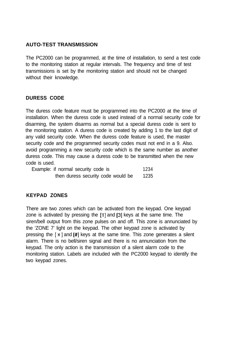#### **AUTO-TEST TRANSMISSION**

The PC2000 can be programmed, at the time of installation, to send a test code to the monitoring station at regular intervals. The frequency and time of test transmissions is set by the monitoring station and should not be changed without their knowledge.

#### **DURESS CODE**

The duress code feature must be programmed into the PC2000 at the time of installation. When the duress code is used instead of a normal security code for disarming, the system disarms as normal but a special duress code is sent to the monitoring station. A duress code is created by adding 1 to the last digit of any valid security code. When the duress code feature is used, the master security code and the programmed security codes must not end in a 9. Also. avoid programming a new security code which is the same number as another duress code. This may cause a duress code to be transmitted when the new code is used.

| Example: if normal security code is | 1234 |
|-------------------------------------|------|
| then duress security code would be  | 1235 |

#### **KEYPAD ZONES**

There are two zones which can be activated from the keypad. One keypad zone is activated by pressing the [1] and [3] keys at the same time. The siren/bell output from this zone pulses on and off. This zone is annunciated by the 'ZONE 7' light on the keypad. The other keypad zone is activated by pressing the  $[\star]$  and  $[\#]$  keys at the same time. This zone generates a silent alarm. There is no bell/siren signal and there is no annunciation from the keypad. The only action is the transmission of a silent alarm code to the monitoring station. Labels are included with the PC2000 keypad to identify the two keypad zones.